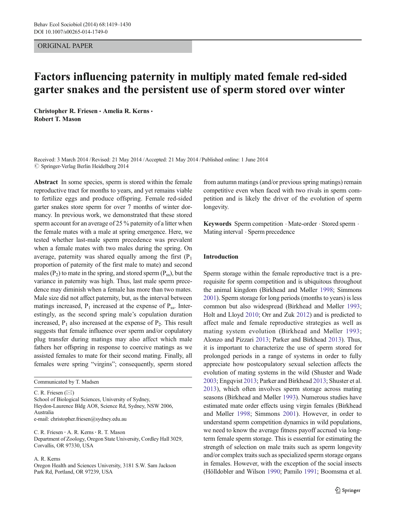## ORIGINAL PAPER

# Factors influencing paternity in multiply mated female red-sided garter snakes and the persistent use of sperm stored over winter

Christopher R. Friesen · Amelia R. Kerns · Robert T. Mason

Received: 3 March 2014 /Revised: 21 May 2014 /Accepted: 21 May 2014 / Published online: 1 June 2014  $\oslash$  Springer-Verlag Berlin Heidelberg 2014

Abstract In some species, sperm is stored within the female reproductive tract for months to years, and yet remains viable to fertilize eggs and produce offspring. Female red-sided garter snakes store sperm for over 7 months of winter dormancy. In previous work, we demonstrated that these stored sperm account for an average of 25 % paternity of a litter when the female mates with a male at spring emergence. Here, we tested whether last-male sperm precedence was prevalent when a female mates with two males during the spring. On average, paternity was shared equally among the first  $(P_1$ proportion of paternity of the first male to mate) and second males  $(P_2)$  to mate in the spring, and stored sperm  $(P_{ss})$ , but the variance in paternity was high. Thus, last male sperm precedence may diminish when a female has more than two mates. Male size did not affect paternity, but, as the interval between matings increased,  $P_1$  increased at the expense of  $P_{ss}$ . Interestingly, as the second spring male's copulation duration increased,  $P_1$  also increased at the expense of  $P_2$ . This result suggests that female influence over sperm and/or copulatory plug transfer during matings may also affect which male fathers her offspring in response to coercive matings as we assisted females to mate for their second mating. Finally, all females were spring "virgins"; consequently, sperm stored

Communicated by T. Madsen

C. R. Friesen  $(\boxtimes)$ 

School of Biological Sciences, University of Sydney, Heydon-Laurence Bldg AO8, Science Rd, Sydney, NSW 2006, Australia e-mail: christopher.friesen@sydney.edu.au

C. R. Friesen · A. R. Kerns · R. T. Mason Department of Zoology, Oregon State University, Cordley Hall 3029, Corvallis, OR 97330, USA

A. R. Kerns

Oregon Health and Sciences University, 3181 S.W. Sam Jackson Park Rd, Portland, OR 97239, USA

from autumn matings (and/or previous spring matings) remain competitive even when faced with two rivals in sperm competition and is likely the driver of the evolution of sperm longevity.

Keywords Sperm competition . Mate-order . Stored sperm . Mating interval . Sperm precedence

# Introduction

Sperm storage within the female reproductive tract is a prerequisite for sperm competition and is ubiquitous throughout the animal kingdom (Birkhead and Møller [1998;](#page-9-0) Simmons [2001\)](#page-11-0). Sperm storage for long periods (months to years) is less common but also widespread (Birkhead and Møller [1993;](#page-9-0) Holt and Lloyd [2010;](#page-10-0) Orr and Zuk [2012\)](#page-10-0) and is predicted to affect male and female reproductive strategies as well as mating system evolution (Birkhead and Møller [1993;](#page-9-0) Alonzo and Pizzari [2013](#page-9-0); Parker and Birkhead [2013\)](#page-10-0). Thus, it is important to characterize the use of sperm stored for prolonged periods in a range of systems in order to fully appreciate how postcopulatory sexual selection affects the evolution of mating systems in the wild (Shuster and Wade [2003;](#page-11-0) Engqvist [2013](#page-9-0); Parker and Birkhead [2013;](#page-10-0) Shuster et al. [2013](#page-11-0)), which often involves sperm storage across mating seasons (Birkhead and Møller [1993\)](#page-9-0). Numerous studies have estimated mate order effects using virgin females (Birkhead and Møller [1998](#page-9-0); Simmons [2001\)](#page-11-0). However, in order to understand sperm competition dynamics in wild populations, we need to know the average fitness payoff accrued via longterm female sperm storage. This is essential for estimating the strength of selection on male traits such as sperm longevity and/or complex traits such as specialized sperm storage organs in females. However, with the exception of the social insects (Hölldobler and Wilson [1990](#page-10-0); Pamilo [1991;](#page-10-0) Boomsma et al.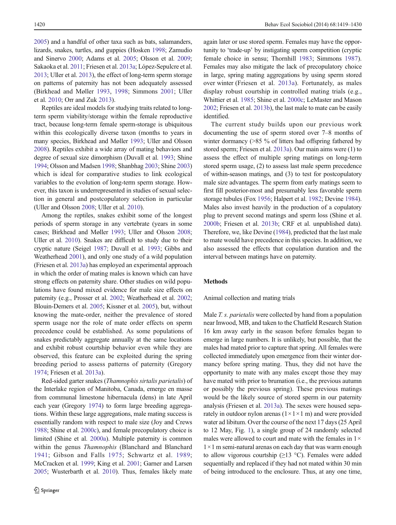[2005\)](#page-9-0) and a handful of other taxa such as bats, salamanders, lizards, snakes, turtles, and guppies (Hosken [1998](#page-10-0); Zamudio and Sinervo [2000;](#page-11-0) Adams et al. [2005;](#page-9-0) Olsson et al. [2009](#page-10-0); Sakaoka et al. [2011](#page-10-0); Friesen et al. [2013a](#page-9-0); López-Sepulcre et al. [2013;](#page-10-0) Uller et al. [2013](#page-11-0)), the effect of long-term sperm storage on patterns of paternity has not been adequately assessed (Birkhead and Møller [1993,](#page-9-0) [1998;](#page-9-0) Simmons [2001;](#page-11-0) Uller et al. [2010](#page-11-0); Orr and Zuk [2013](#page-10-0)).

Reptiles are ideal models for studying traits related to longterm sperm viability/storage within the female reproductive tract, because long-term female sperm-storage is ubiquitous within this ecologically diverse taxon (months to years in many species, Birkhead and Møller [1993](#page-9-0); Uller and Olsson [2008\)](#page-11-0). Reptiles exhibit a wide array of mating behaviors and degree of sexual size dimorphism (Duvall et al. [1993](#page-9-0); Shine [1994;](#page-10-0) Olsson and Madsen [1998;](#page-10-0) Shanbhag [2003;](#page-10-0) Shine [2003\)](#page-10-0) which is ideal for comparative studies to link ecological variables to the evolution of long-term sperm storage. However, this taxon is underrepresented in studies of sexual selection in general and postcopulatory selection in particular (Uller and Olsson [2008](#page-11-0); Uller et al. [2010](#page-11-0)).

Among the reptiles, snakes exhibit some of the longest periods of sperm storage in any vertebrate (years in some cases; Birkhead and Møller [1993](#page-9-0); Uller and Olsson [2008](#page-11-0); Uller et al. [2010](#page-11-0)). Snakes are difficult to study due to their cryptic nature (Seigel [1987](#page-10-0); Duvall et al. [1993](#page-9-0); Gibbs and Weatherhead [2001\)](#page-9-0), and only one study of a wild population (Friesen et al. [2013a\)](#page-9-0) has employed an experimental approach in which the order of mating males is known which can have strong effects on paternity share. Other studies on wild populations have found mixed evidence for male size effects on paternity (e.g., Prosser et al. [2002;](#page-10-0) Weatherhead et al. [2002](#page-11-0); Blouin-Demers et al. [2005;](#page-9-0) Kissner et al. [2005\)](#page-10-0), but, without knowing the mate-order, neither the prevalence of stored sperm usage nor the role of mate order effects on sperm precedence could be established. As some populations of snakes predictably aggregate annually at the same locations and exhibit robust courtship behavior even while they are observed, this feature can be exploited during the spring breeding period to assess patterns of paternity (Gregory [1974;](#page-10-0) Friesen et al. [2013a](#page-9-0)).

Red-sided garter snakes (Thamnophis sirtalis parietalis) of the Interlake region of Manitoba, Canada, emerge en masse from communal limestone hibernacula (dens) in late April each year (Gregory [1974\)](#page-10-0) to form large breeding aggregations. Within these large aggregations, male mating success is essentially random with respect to male size (Joy and Crews [1988;](#page-10-0) Shine et al. [2000c](#page-11-0)), and female precopulatory choice is limited (Shine et al. [2000a\)](#page-10-0). Multiple paternity is common within the genus Thamnophis (Blanchard and Blanchard [1941;](#page-9-0) Gibson and Falls [1975](#page-10-0); Schwartz et al. [1989](#page-10-0); McCracken et al. [1999;](#page-10-0) King et al. [2001;](#page-10-0) Garner and Larsen [2005;](#page-9-0) Wusterbarth et al. [2010\)](#page-11-0). Thus, females likely mate

again later or use stored sperm. Females may have the opportunity to 'trade-up' by instigating sperm competition (cryptic female choice in sensu; Thornhill [1983;](#page-11-0) Simmons [1987\)](#page-11-0). Females may also mitigate the lack of precopulatory choice in large, spring mating aggregations by using sperm stored over winter (Friesen et al. [2013a](#page-9-0)). Fortunately, as males display robust courtship in controlled mating trials (e.g., Whittier et al. [1985](#page-11-0); Shine et al. [2000c](#page-11-0); LeMaster and Mason [2002;](#page-10-0) Friesen et al. [2013b](#page-9-0)), the last male to mate can be easily identified.

The current study builds upon our previous work documenting the use of sperm stored over 7–8 months of winter dormancy (>85 % of litters had offspring fathered by stored sperm; Friesen et al. [2013a](#page-9-0)). Our main aims were (1) to assess the effect of multiple spring matings on long-term stored sperm usage, (2) to assess last male sperm precedence of within-season matings, and (3) to test for postcopulatory male size advantages. The sperm from early matings seem to first fill posterior-most and presumably less favorable sperm storage tubules (Fox [1956;](#page-9-0) Halpert et al. [1982;](#page-10-0) Devine [1984\)](#page-9-0). Males also invest heavily in the production of a copulatory plug to prevent second matings and sperm loss (Shine et al. [2000b;](#page-11-0) Friesen et al. [2013b;](#page-9-0) CRF et al. unpublished data). Therefore, we, like Devine [\(1984\)](#page-9-0), predicted that the last male to mate would have precedence in this species. In addition, we also assessed the effects that copulation duration and the interval between matings have on paternity.

# Methods

Animal collection and mating trials

Male *T. s. parietalis* were collected by hand from a population near Inwood, MB, and taken to the Chatfield Research Station 16 km away early in the season before females began to emerge in large numbers. It is unlikely, but possible, that the males had mated prior to capture that spring. All females were collected immediately upon emergence from their winter dormancy before spring mating. Thus, they did not have the opportunity to mate with any males except those they may have mated with prior to brumation (i.e., the previous autumn or possibly the previous spring). These previous matings would be the likely source of stored sperm in our paternity analysis (Friesen et al. [2013a\)](#page-9-0). The sexes were housed separately in outdoor nylon arenas  $(1 \times 1 \times 1$  m) and were provided water ad libitum. Over the course of the next 17 days (25 April to 12 May, Fig. [1\)](#page-2-0), a single group of 24 randomly selected males were allowed to court and mate with the females in  $1 \times$ 1×1 m semi-natural arenas on each day that was warm enough to allow vigorous courtship  $(\geq 13 \text{ °C})$ . Females were added sequentially and replaced if they had not mated within 30 min of being introduced to the enclosure. Thus, at any one time,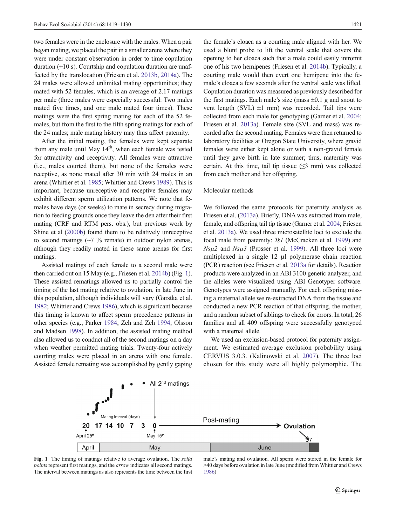<span id="page-2-0"></span>two females were in the enclosure with the males. When a pair began mating, we placed the pair in a smaller arena where they were under constant observation in order to time copulation duration  $(\pm 10 \text{ s})$ . Courtship and copulation duration are unaffected by the translocation (Friesen et al. [2013b,](#page-9-0) [2014a\)](#page-9-0). The 24 males were allowed unlimited mating opportunities; they mated with 52 females, which is an average of 2.17 matings per male (three males were especially successful: Two males mated five times, and one male mated four times). These matings were the first spring mating for each of the 52 females, but from the first to the fifth spring matings for each of the 24 males; male mating history may thus affect paternity.

After the initial mating, the females were kept separate from any male until May  $14<sup>th</sup>$ , when each female was tested for attractivity and receptivity. All females were attractive (i.e., males courted them), but none of the females were receptive, as none mated after 30 min with 24 males in an arena (Whittier et al. [1985](#page-11-0); Whittier and Crews [1989](#page-11-0)). This is important, because unreceptive and receptive females may exhibit different sperm utilization patterns. We note that females have days (or weeks) to mate in secrecy during migration to feeding grounds once they leave the den after their first mating (CRF and RTM pers. obs.), but previous work by Shine et al ([2000b](#page-11-0)) found them to be relatively unreceptive to second matings  $(\sim 7 \%)$  remate) in outdoor nylon arenas, although they readily mated in these same arenas for first matings.

Assisted matings of each female to a second male were then carried out on 15 May (e.g., Friesen et al. [2014b\)](#page-9-0) (Fig. 1). These assisted rematings allowed us to partially control the timing of the last mating relative to ovulation, in late June in this population, although individuals will vary (Garstka et al. [1982;](#page-9-0) Whittier and Crews [1986\)](#page-11-0), which is significant because this timing is known to affect sperm precedence patterns in other species (e.g., Parker [1984](#page-10-0); Zeh and Zeh [1994](#page-11-0); Olsson and Madsen [1998\)](#page-10-0). In addition, the assisted mating method also allowed us to conduct all of the second matings on a day when weather permitted mating trials. Twenty-four actively courting males were placed in an arena with one female. Assisted female remating was accomplished by gently gaping

the female's cloaca as a courting male aligned with her. We used a blunt probe to lift the ventral scale that covers the opening to her cloaca such that a male could easily intromit one of his two hemipenes (Friesen et al. [2014b\)](#page-9-0). Typically, a courting male would then evert one hemipene into the female's cloaca a few seconds after the ventral scale was lifted. Copulation duration was measured as previously described for the first matings. Each male's size (mass  $\pm 0.1$  g and snout to vent length (SVL)  $\pm 1$  mm) was recorded. Tail tips were collected from each male for genotyping (Garner et al. [2004;](#page-9-0) Friesen et al. [2013a\)](#page-9-0). Female size (SVL and mass) was recorded after the second mating. Females were then returned to laboratory facilities at Oregon State University, where gravid females were either kept alone or with a non-gravid female until they gave birth in late summer; thus, maternity was certain. At this time, tail tip tissue  $(≤3$  mm) was collected from each mother and her offspring.

## Molecular methods

We followed the same protocols for paternity analysis as Friesen et al. ([2013a\)](#page-9-0). Briefly, DNA was extracted from male, female, and offspring tail tip tissue (Garner et al. [2004](#page-9-0); Friesen et al. [2013a](#page-9-0)). We used three microsatellite loci to exclude the focal male from paternity: Ts1 (McCracken et al. [1999\)](#page-10-0) and  $Ns\mu$ 2 and  $Ns\mu$ 3 (Prosser et al. [1999](#page-10-0)). All three loci were multiplexed in a single 12 μl polymerase chain reaction (PCR) reaction (see Friesen et al. [2013a](#page-9-0) for details). Reaction products were analyzed in an ABI 3100 genetic analyzer, and the alleles were visualized using ABI Genotyper software. Genotypes were assigned manually. For each offspring missing a maternal allele we re-extracted DNA from the tissue and conducted a new PCR reaction of that offspring, the mother, and a random subset of siblings to check for errors. In total, 26 families and all 409 offspring were successfully genotyped with a maternal allele.

We used an exclusion-based protocol for paternity assignment. We estimated average exclusion probability using CERVUS 3.0.3. (Kalinowski et al. [2007](#page-10-0)). The three loci chosen for this study were all highly polymorphic. The



Fig. 1 The timing of matings relative to average ovulation. The solid points represent first matings, and the arrow indicates all second matings. The interval between matings as also represents the time between the first

male's mating and ovulation. All sperm were stored in the female for >40 days before ovulation in late June (modified from Whittier and Crews [1986\)](#page-11-0)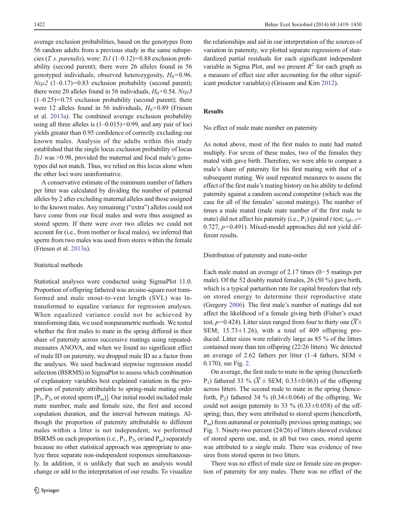average exclusion probabilities, based on the genotypes from 56 random adults from a previous study in the same subspecies (T. s. paretalis), were: Ts1 (1–0.12)=0.88 exclusion probability (second parent); there were 26 alleles found in 56 genotyped individuals; observed heterozygosity,  $H_0$ =0.96.  $Ns\mu$ 2 (1–0.17)=0.83 exclusion probability (second parent); there were 20 alleles found in 56 individuals,  $H_0=0.54$ .  $Ns\mu 3$  $(1-0.25)=0.75$  exclusion probability (second parent); there were 12 alleles found in 56 individuals,  $H_0=0.89$  (Friesen et al. [2013a](#page-9-0)). The combined average exclusion probability using all three alleles is  $(1-0.015)=0.99$ , and any pair of loci yields greater than 0.95 confidence of correctly excluding our known males. Analysis of the adults within this study established that the single locus exclusion probability of locus Ts1 was >0.98, provided the maternal and focal male's genotypes did not match. Thus, we relied on this locus alone when the other loci were uninformative.

A conservative estimate of the minimum number of fathers per litter was calculated by dividing the number of paternal alleles by 2 after excluding maternal alleles and those assigned to the known males. Any remaining ("extra") alleles could not have come from our focal males and were thus assigned as stored sperm. If there were over two alleles we could not account for (i.e., from mother or focal males), we inferred that sperm from two males was used from stores within the female (Friesen et al. [2013a\)](#page-9-0).

## Statistical methods

Statistical analyses were conducted using SigmaPlot 11.0. Proportion of offspring fathered was arcsine-square root transformed and male snout-to-vent length (SVL) was lntransformed to equalize variance for regression analyses. When equalized variance could not be achieved by transforming data, we used nonparametric methods. We tested whether the first males to mate in the spring differed in their share of paternity across successive matings using repeatedmeasures ANOVA, and when we found no significant effect of male ID on paternity, we dropped male ID as a factor from the analyses. We used backward stepwise regression model selection (BSRMS) in SigmaPlot to assess which combination of explanatory variables best explained variation in the proportion of paternity attributable to spring-male mating order  $[P_1, P_2,$  or stored sperm  $(P_{ss})$ ]. Our initial model included male mate number, male and female size, the first and second copulation duration, and the interval between matings. Although the proportion of paternity attributable to different males within a litter is not independent, we performed BSRMS on each proportion (i.e.,  $P_1$ ,  $P_2$ , or/and  $P_{ss}$ ) separately because no other statistical approach was appropriate to analyze three separate non-independent responses simultaneously. In addition, it is unlikely that such an analysis would change or add to the interpretation of our results. To visualize

the relationships and aid in our interpretation of the sources of variation in paternity, we plotted separate regressions of standardized partial residuals for each significant independent variable in Sigma Plot, and we present  $R^2$  for each graph as a measure of effect size after accounting for the other significant predictor variable(s) (Grissom and Kim [2012](#page-10-0)).

# Results

No effect of male mate number on paternity

As noted above, most of the first males to mate had mated multiply. For seven of these males, two of the females they mated with gave birth. Therefore, we were able to compare a male's share of paternity for his first mating with that of a subsequent mating. We used repeated measures to assess the effect of the first male's mating history on his ability to defend paternity against a random second competitor (which was the case for all of the females' second matings). The number of times a male mated (male mate number of the first male to mate) did not affect his paternity (i.e., P<sub>1</sub>) (paired t test;  $t_{\text{df}=7}$ = 0.727,  $p=0.491$ ). Mixed-model approaches did not yield different results.

Distribution of paternity and mate-order

Each male mated an average of 2.17 times (0−5 matings per male). Of the 52 doubly mated females, 26 (50 %) gave birth, which is a typical parturition rate for capital breeders that rely on stored energy to determine their reproductive state (Gregory [2006](#page-10-0)). The first male's number of matings did not affect the likelihood of a female giving birth (Fisher's exact test,  $p=0.424$ ). Litter sizes ranged from four to thirty one  $(\overline{X} \pm$ SEM;  $15.73 \pm 1.26$ ), with a total of 409 offspring produced. Litter sizes were relatively large as 85 % of the litters contained more than ten offspring (22/26 litters). We detected an average of 2.62 fathers per litter (1–4 fathers, SEM  $\pm$ 0.170); see Fig. [2](#page-4-0).

On average, the first male to mate in the spring (henceforth P<sub>1</sub>) fathered 33 % ( $\overline{X}$  ± SEM; 0.33±0.063) of the offspring across litters. The second male to mate in the spring (henceforth,  $P_2$ ) fathered 34 % (0.34 $\pm$ 0.064) of the offspring. We could not assign paternity to 33  $\%$  (0.33 $\pm$ 0.058) of the offspring; thus, they were attributed to stored sperm (henceforth, Pss) from autumnal or potentially previous spring matings; see Fig. [3.](#page-4-0) Ninety-two percent (24/26) of litters showed evidence of stored sperm use, and, in all but two cases, stored sperm was attributed to a single male. There was evidence of two sires from stored sperm in two litters.

There was no effect of male size or female size on proportion of paternity for any males. There was no effect of the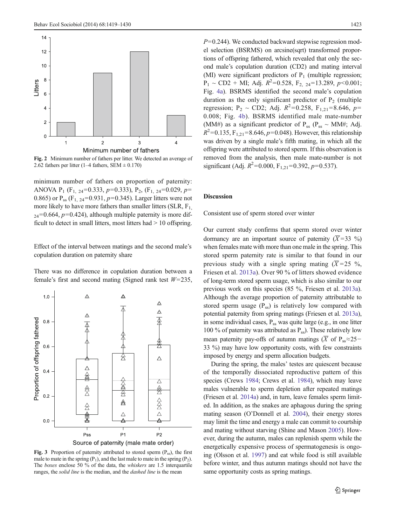<span id="page-4-0"></span>

Fig. 2 Minimum number of fathers per litter. We detected an average of 2.62 fathers per litter (1–4 fathers, SEM  $\pm$  0.170)

minimum number of fathers on proportion of paternity: ANOVA  $P_1$  (F<sub>1, 24</sub>=0.333, p=0.333), P<sub>2</sub>, (F<sub>1, 24</sub>=0.029, p= 0.865) or  $P_{ss}$  (F<sub>1, 24</sub>=0.931, p=0.345). Larger litters were not more likely to have more fathers than smaller litters (SLR,  $F_1$ )  $24=0.664$ ,  $p=0.424$ ), although multiple paternity is more difficult to detect in small litters, most litters had > 10 offspring.

Effect of the interval between matings and the second male's copulation duration on paternity share

There was no difference in copulation duration between a female's first and second mating (Signed rank test  $W=235$ ,



Fig. 3 Proportion of paternity attributed to stored sperm  $(P_{ss})$ , the first male to mate in the spring  $(P_1)$ , and the last male to mate in the spring  $(P_2)$ . The boxes enclose 50 % of the data, the whiskers are 1.5 interquartile ranges, the *solid line* is the median, and the *dashed line* is the mean

 $P=0.244$ ). We conducted backward stepwise regression model selection (BSRMS) on arcsine(sqrt) transformed proportions of offspring fathered, which revealed that only the second male's copulation duration (CD2) and mating interval (MI) were significant predictors of  $P_1$  (multiple regression;  $P_1 \sim CD2 + MI$ ; Adj.  $R^2 = 0.528$ ,  $F_{2, 24} = 13.289$ ,  $p < 0.001$ ; Fig. [4a](#page-5-0)). BSRMS identified the second male's copulation duration as the only significant predictor of  $P_2$  (multiple regression; P<sub>2</sub> ~ CD2; Adj.  $R^2 = 0.258$ , F<sub>1,21</sub> = 8.646, p= 0.008; Fig. [4b](#page-5-0)). BSRMS identified male mate-number (MM#) as a significant predictor of  $P_{ss}$  ( $P_{ss} \sim$  MM#; Adj.  $R^2$ =0.135, F<sub>1,21</sub>=8.646, p=0.048). However, this relationship was driven by a single male's fifth mating, in which all the offspring were attributed to stored sperm. If this observation is removed from the analysis, then male mate-number is not significant (Adj.  $R^2$ =0.000, F<sub>1,21</sub>=0.392, p=0.537).

# Discussion

Consistent use of sperm stored over winter

Our current study confirms that sperm stored over winter dormancy are an important source of paternity  $(\overline{X} = 33 \%)$ when females mate with more than one male in the spring. This stored sperm paternity rate is similar to that found in our previous study with a single spring mating  $(\overline{X} = 25 \degree \%$ , Friesen et al. [2013a\)](#page-9-0). Over 90 % of litters showed evidence of long-term stored sperm usage, which is also similar to our previous work on this species (85 %, Friesen et al. [2013a\)](#page-9-0). Although the average proportion of paternity attributable to stored sperm usage  $(P_{ss})$  is relatively low compared with potential paternity from spring matings (Friesen et al. [2013a\)](#page-9-0), in some individual cases,  $P_{ss}$  was quite large (e.g., in one litter 100 % of paternity was attributed as  $P_{ss}$ ). These relatively low mean paternity pay-offs of autumn matings ( $\overline{X}$  of P<sub>ss</sub>≈25− 33 %) may have low opportunity costs, with few constraints imposed by energy and sperm allocation budgets.

During the spring, the males' testes are quiescent because of the temporally dissociated reproductive pattern of this species (Crews [1984;](#page-9-0) Crews et al. [1984\)](#page-9-0), which may leave males vulnerable to sperm depletion after repeated matings (Friesen et al. [2014a\)](#page-9-0) and, in turn, leave females sperm limited. In addition, as the snakes are aphagous during the spring mating season (O'Donnell et al. [2004](#page-10-0)), their energy stores may limit the time and energy a male can commit to courtship and mating without starving (Shine and Mason [2005\)](#page-10-0). However, during the autumn, males can replenish sperm while the energetically expensive process of spermatogenesis is ongoing (Olsson et al. [1997\)](#page-10-0) and eat while food is still available before winter, and thus autumn matings should not have the same opportunity costs as spring matings.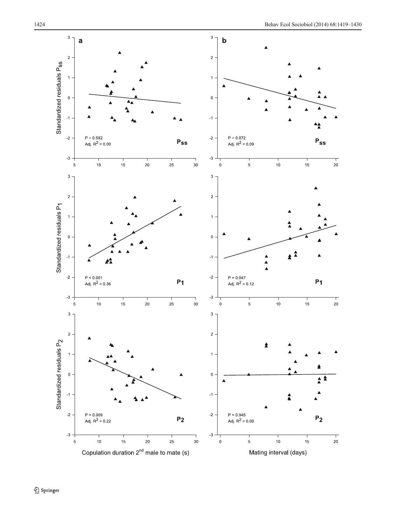<span id="page-5-0"></span>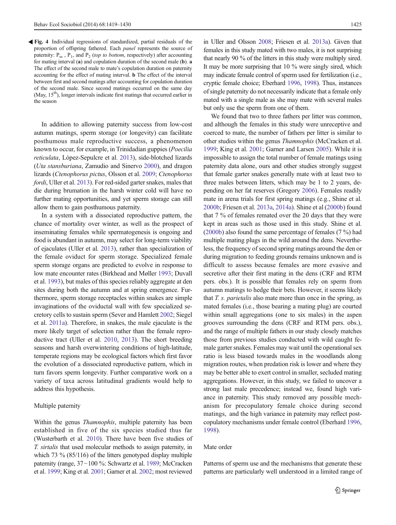Fig. 4 Individual regressions of standardized, partial residuals of the proportion of offspring fathered. Each panel represents the source of paternity:  $P_{ss}$ ,  $P_1$ , and  $P_2$  (top to bottom, respectively) after accounting for mating interval (a) and copulation duration of the second male (b). a The effect of the second male to mate's copulation duration on paternity accounting for the effect of mating interval. b The effect of the interval between first and second matings after accounting for copulation duration of the second male. Since second matings occurred on the same day (May, 15<sup>th</sup>), longer intervals indicate first matings that occurred earlier in the season

In addition to allowing paternity success from low-cost autumn matings, sperm storage (or longevity) can facilitate posthumous male reproductive success, a phenomenon known to occur, for example, in Trinidadian guppies (Poecilia reticulata, López-Sepulcre et al. [2013\)](#page-10-0), side-blotched lizards (Uta stansburiana, Zamudio and Sinervo [2000](#page-11-0)), and dragon lizards (Ctenophorus pictus, Olsson et al. [2009;](#page-10-0) Ctenophorus fordi, Uller et al. [2013](#page-11-0)). For red-sided garter snakes, males that die during brumation in the harsh winter cold will have no further mating opportunities, and yet sperm storage can still allow them to gain posthumous paternity.

In a system with a dissociated reproductive pattern, the chance of mortality over winter, as well as the prospect of inseminating females while spermatogenesis is ongoing and food is abundant in autumn, may select for long-term viability of ejaculates (Uller et al. [2013](#page-11-0)), rather than specialization of the female oviduct for sperm storage. Specialized female sperm storage organs are predicted to evolve in response to low mate encounter rates (Birkhead and Møller [1993](#page-9-0); Duvall et al. [1993](#page-9-0)), but males of this species reliably aggregate at den sites during both the autumn and at spring emergence. Furthermore, sperm storage receptacles within snakes are simple invaginations of the oviductal wall with few specialized secretory cells to sustain sperm (Sever and Hamlett [2002](#page-10-0); Siegel et al. [2011a\)](#page-11-0). Therefore, in snakes, the male ejaculate is the more likely target of selection rather than the female reproductive tract (Uller et al. [2010](#page-11-0), [2013](#page-11-0)). The short breeding seasons and harsh overwintering conditions of high-latitude, temperate regions may be ecological factors which first favor the evolution of a dissociated reproductive pattern, which in turn favors sperm longevity. Further comparative work on a variety of taxa across latitudinal gradients would help to address this hypothesis.

#### Multiple paternity

Within the genus *Thamnophis*, multiple paternity has been established in five of the six species studied thus far (Wusterbarth et al. [2010\)](#page-11-0). There have been five studies of T. sirtalis that used molecular methods to assign paternity, in which 73 % (85/116) of the litters genotyped display multiple paternity (range, 37−100 %: Schwartz et al. [1989](#page-10-0); McCracken et al. [1999](#page-10-0); King et al. [2001](#page-10-0); Garner et al. [2002;](#page-9-0) most reviewed in Uller and Olsson [2008](#page-11-0); Friesen et al. [2013a](#page-9-0)). Given that females in this study mated with two males, it is not surprising that nearly 90 % of the litters in this study were multiply sired. It may be more surprising that 10 % were singly sired, which may indicate female control of sperm used for fertilization (i.e., cryptic female choice; Eberhard [1996,](#page-9-0) [1998](#page-9-0)). Thus, instances of single paternity do not necessarily indicate that a female only mated with a single male as she may mate with several males but only use the sperm from one of them.

We found that two to three fathers per litter was common, and although the females in this study were unreceptive and coerced to mate, the number of fathers per litter is similar to other studies within the genus Thamnophis (McCracken et al. [1999;](#page-10-0) King et al. [2001;](#page-10-0) Garner and Larsen [2005](#page-9-0)). While it is impossible to assign the total number of female matings using paternity data alone, ours and other studies strongly suggest that female garter snakes generally mate with at least two to three males between litters, which may be 1 to 2 years, depending on her fat reserves (Gregory [2006\)](#page-10-0). Females readily mate in arena trials for first spring matings (e.g., Shine et al. [2000b;](#page-11-0) Friesen et al. [2013a](#page-9-0), [2014a\)](#page-9-0). Shine et al ([2000b](#page-11-0)) found that 7 % of females remated over the 20 days that they were kept in areas such as those used in this study. Shine et al. [\(2000b\)](#page-11-0) also found the same percentage of females (7 %) had multiple mating plugs in the wild around the dens. Nevertheless, the frequency of second spring matings around the den or during migration to feeding grounds remains unknown and is difficult to assess because females are more evasive and secretive after their first mating in the dens (CRF and RTM pers. obs.). It is possible that females rely on sperm from autumn matings to hedge their bets. However, it seems likely that T. s. parietalis also mate more than once in the spring, as mated females (i.e., those bearing a mating plug) are courted within small aggregations (one to six males) in the aspen grooves surrounding the dens (CRF and RTM pers. obs.), and the range of multiple fathers in our study closely matches those from previous studies conducted with wild caught female garter snakes. Females may wait until the operational sex ratio is less biased towards males in the woodlands along migration routes, when predation risk is lower and where they may be better able to exert control in smaller, secluded mating aggregations. However, in this study, we failed to uncover a strong last male precedence; instead we, found high variance in paternity. This study removed any possible mechanism for precopulatory female choice during second matings, and the high variance in paternity may reflect postcopulatory mechanisms under female control (Eberhard [1996,](#page-9-0) [1998\)](#page-9-0).

# Mate order

Patterns of sperm use and the mechanisms that generate these patterns are particularly well understood in a limited range of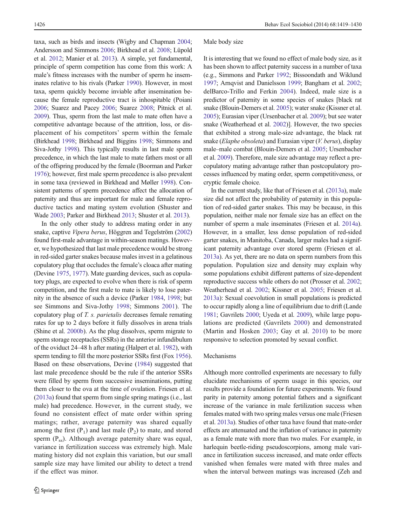taxa, such as birds and insects (Wigby and Chapman [2004](#page-11-0); Andersson and Simmons [2006;](#page-9-0) Birkhead et al. [2008;](#page-9-0) Lüpold et al. [2012](#page-10-0); Manier et al. [2013\)](#page-10-0). A simple, yet fundamental, principle of sperm competition has come from this work: A male's fitness increases with the number of sperm he inseminates relative to his rivals (Parker [1990\)](#page-10-0). However, in most taxa, sperm quickly become inviable after insemination because the female reproductive tract is inhospitable (Poiani [2006;](#page-10-0) Suarez and Pacey [2006](#page-11-0); Suarez [2008](#page-11-0); Pitnick et al. [2009\)](#page-10-0). Thus, sperm from the last male to mate often have a competitive advantage because of the attrition, loss, or displacement of his competitors' sperm within the female (Birkhead [1998;](#page-9-0) Birkhead and Biggins [1998;](#page-9-0) Simmons and Siva-Jothy [1998\)](#page-11-0). This typically results in last male sperm precedence, in which the last male to mate fathers most or all of the offspring produced by the female (Boorman and Parker [1976\)](#page-9-0); however, first male sperm precedence is also prevalent in some taxa (reviewed in Birkhead and Møller [1998\)](#page-9-0). Consistent patterns of sperm precedence affect the allocation of paternity and thus are important for male and female reproductive tactics and mating system evolution (Shuster and Wade [2003](#page-11-0); Parker and Birkhead [2013;](#page-10-0) Shuster et al. [2013\)](#page-11-0).

In the only other study to address mating order in any snake, captive Vipera berus, Höggren and Tegelström [\(2002\)](#page-10-0) found first-male advantage in within-season matings. However, we hypothesized that last male precedence would be strong in red-sided garter snakes because males invest in a gelatinous copulatory plug that occludes the female's cloaca after mating (Devine [1975](#page-9-0), [1977\)](#page-9-0). Mate guarding devices, such as copulatory plugs, are expected to evolve when there is risk of sperm competition, and the first male to mate is likely to lose paternity in the absence of such a device (Parker [1984](#page-10-0), [1998](#page-10-0); but see Simmons and Siva-Jothy [1998;](#page-11-0) Simmons [2001\)](#page-11-0). The copulatory plug of T. s. parietalis decreases female remating rates for up to 2 days before it fully dissolves in arena trials (Shine et al. [2000b](#page-11-0)). As the plug dissolves, sperm migrate to sperm storage receptacles (SSRs) in the anterior infundibulum of the oviduct 24–48 h after mating (Halpert et al. [1982](#page-10-0)), with sperm tending to fill the more posterior SSRs first (Fox [1956\)](#page-9-0). Based on these observations, Devine [\(1984\)](#page-9-0) suggested that last male precedence should be the rule if the anterior SSRs were filled by sperm from successive inseminations, putting them closer to the ova at the time of ovulation. Friesen et al. [\(2013a\)](#page-9-0) found that sperm from single spring matings (i.e., last male) had precedence. However, in the current study, we found no consistent effect of mate order within spring matings; rather, average paternity was shared equally among the first  $(P_1)$  and last male  $(P_2)$  to mate, and stored sperm  $(P_{ss})$ . Although average paternity share was equal, variance in fertilization success was extremely high. Male mating history did not explain this variation, but our small sample size may have limited our ability to detect a trend if the effect was minor.

#### Male body size

It is interesting that we found no effect of male body size, as it has been shown to affect paternity success in a number of taxa (e.g., Simmons and Parker [1992](#page-11-0); Bissoondath and Wiklund [1997;](#page-9-0) Arnqvist and Danielsson [1999](#page-9-0); Bangham et al. [2002;](#page-9-0) delBarco-Trillo and Ferkin [2004](#page-9-0)). Indeed, male size is a predictor of paternity in some species of snakes [black rat snake (Blouin-Demers et al. [2005](#page-9-0)); water snake (Kissner et al. [2005\)](#page-10-0); Eurasian viper (Ursenbacher et al. [2009\)](#page-11-0); but see water snake (Weatherhead et al. [2002\)](#page-11-0)]. However, the two species that exhibited a strong male-size advantage, the black rat snake (Elaphe obsoleta) and Eurasian viper  $(V.$  berus), display male–male combat (Blouin-Demers et al. [2005;](#page-9-0) Ursenbacher et al. [2009](#page-11-0)). Therefore, male size advantage may reflect a precopulatory mating advantage rather than postcopulatory processes influenced by mating order, sperm competitiveness, or cryptic female choice.

In the current study, like that of Friesen et al. ([2013a\)](#page-9-0), male size did not affect the probability of paternity in this population of red-sided garter snakes. This may be because, in this population, neither male nor female size has an effect on the number of sperm a male inseminates (Friesen et al. [2014a\)](#page-9-0). However, in a smaller, less dense population of red-sided garter snakes, in Manitoba, Canada, larger males had a significant paternity advantage over stored sperm (Friesen et al. [2013a\)](#page-9-0). As yet, there are no data on sperm numbers from this population. Population size and density may explain why some populations exhibit different patterns of size-dependent reproductive success while others do not (Prosser et al. [2002;](#page-10-0) Weatherhead et al. [2002](#page-11-0); Kissner et al. [2005;](#page-10-0) Friesen et al. [2013a\)](#page-9-0): Sexual coevolution in small populations is predicted to occur rapidly along a line of equilibrium due to drift (Lande [1981;](#page-10-0) Gavrilets [2000](#page-9-0); Uyeda et al. [2009\)](#page-11-0), while large populations are predicted (Gavrilets [2000\)](#page-9-0) and demonstrated (Martin and Hosken [2003;](#page-10-0) Gay et al. [2010\)](#page-9-0) to be more responsive to selection promoted by sexual conflict.

#### Mechanisms

Although more controlled experiments are necessary to fully elucidate mechanisms of sperm usage in this species, our results provide a foundation for future experiments. We found parity in paternity among potential fathers and a significant increase of the variance in male fertilization success when females mated with two spring males versus one male (Friesen et al. [2013a\)](#page-9-0). Studies of other taxa have found that mate-order effects are attenuated and the inflation of variance in paternity as a female mate with more than two males. For example, in harlequin beetle-riding pseudoscorpions, among male variance in fertilization success increased, and mate order effects vanished when females were mated with three males and when the interval between matings was increased (Zeh and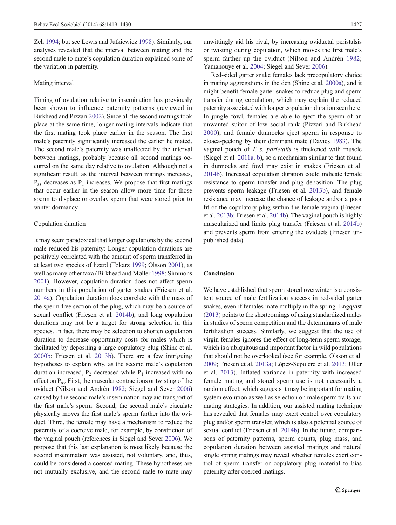Zeh [1994](#page-11-0); but see Lewis and Jutkiewicz [1998](#page-10-0)). Similarly, our analyses revealed that the interval between mating and the second male to mate's copulation duration explained some of the variation in paternity.

#### Mating interval

Timing of ovulation relative to insemination has previously been shown to influence paternity patterns (reviewed in Birkhead and Pizzari [2002](#page-9-0)). Since all the second matings took place at the same time, longer mating intervals indicate that the first mating took place earlier in the season. The first male's paternity significantly increased the earlier he mated. The second male's paternity was unaffected by the interval between matings, probably because all second matings occurred on the same day relative to ovulation. Although not a significant result, as the interval between matings increases,  $P_{ss}$  decreases as  $P_1$  increases. We propose that first matings that occur earlier in the season allow more time for those sperm to displace or overlay sperm that were stored prior to winter dormancy.

# Copulation duration

It may seem paradoxical that longer copulations by the second male reduced his paternity: Longer copulation durations are positively correlated with the amount of sperm transferred in at least two species of lizard (Tokarz [1999;](#page-11-0) Olsson [2001\)](#page-10-0), as well as many other taxa (Birkhead and Møller [1998;](#page-9-0) Simmons [2001\)](#page-11-0). However, copulation duration does not affect sperm numbers in this population of garter snakes (Friesen et al. [2014a\)](#page-9-0). Copulation duration does correlate with the mass of the sperm-free section of the plug, which may be a source of sexual conflict (Friesen et al. [2014b](#page-9-0)), and long copulation durations may not be a target for strong selection in this species. In fact, there may be selection to shorten copulation duration to decrease opportunity costs for males which is facilitated by depositing a large copulatory plug (Shine et al. [2000b](#page-11-0); Friesen et al. [2013b\)](#page-9-0). There are a few intriguing hypotheses to explain why, as the second male's copulation duration increased,  $P_2$  decreased while  $P_1$  increased with no effect on  $P_{ss}$ . First, the muscular contractions or twisting of the oviduct (Nilson and Andrén [1982;](#page-10-0) Siegel and Sever [2006\)](#page-11-0) caused by the second male's insemination may aid transport of the first male's sperm. Second, the second male's ejaculate physically moves the first male's sperm further into the oviduct. Third, the female may have a mechanism to reduce the paternity of a coercive male, for example, by constriction of the vaginal pouch (references in Siegel and Sever [2006\)](#page-11-0). We propose that this last explanation is most likely because the second insemination was assisted, not voluntary, and, thus, could be considered a coerced mating. These hypotheses are not mutually exclusive, and the second male to mate may

unwittingly aid his rival, by increasing oviductal peristalsis or twisting during copulation, which moves the first male's sperm farther up the oviduct (Nilson and Andrén [1982;](#page-10-0) Yamanouye et al. [2004;](#page-11-0) Siegel and Sever [2006](#page-11-0)).

Red-sided garter snake females lack precopulatory choice in mating aggregations in the den (Shine et al. [2000a\)](#page-10-0), and it might benefit female garter snakes to reduce plug and sperm transfer during copulation, which may explain the reduced paternity associated with longer copulation duration seen here. In jungle fowl, females are able to eject the sperm of an unwanted suitor of low social rank (Pizzari and Birkhead [2000\)](#page-10-0), and female dunnocks eject sperm in response to cloaca-pecking by their dominant mate (Davies [1983\)](#page-9-0). The vaginal pouch of T. s. parietalis is thickened with muscle (Siegel et al. [2011a](#page-11-0), [b](#page-11-0)), so a mechanism similar to that found in dunnocks and fowl may exist in snakes (Friesen et al. [2014b\)](#page-9-0). Increased copulation duration could indicate female resistance to sperm transfer and plug deposition. The plug prevents sperm leakage (Friesen et al. [2013b\)](#page-9-0), and female resistance may increase the chance of leakage and/or a poor fit of the copulatory plug within the female vagina (Friesen et al. [2013b;](#page-9-0) Friesen et al. [2014b](#page-9-0)). The vaginal pouch is highly muscularized and limits plug transfer (Friesen et al. [2014b](#page-9-0)) and prevents sperm from entering the oviducts (Friesen unpublished data).

## Conclusion

We have established that sperm stored overwinter is a consistent source of male fertilization success in red-sided garter snakes, even if females mate multiply in the spring. Engqvist [\(2013\)](#page-9-0) points to the shortcomings of using standardized males in studies of sperm competition and the determinants of male fertilization success. Similarly, we suggest that the use of virgin females ignores the effect of long-term sperm storage, which is a ubiquitous and important factor in wild populations that should not be overlooked (see for example, Olsson et al. [2009;](#page-10-0) Friesen et al. [2013a](#page-9-0); López-Sepulcre et al. [2013](#page-10-0); Uller et al. [2013](#page-11-0)). Inflated variance in paternity with increased female mating and stored sperm use is not necessarily a random effect, which suggests it may be important for mating system evolution as well as selection on male sperm traits and mating strategies. In addition, our assisted mating technique has revealed that females may exert control over copulatory plug and/or sperm transfer, which is also a potential source of sexual conflict (Friesen et al. [2014b\)](#page-9-0). In the future, comparisons of paternity patterns, sperm counts, plug mass, and copulation duration between assisted matings and natural single spring matings may reveal whether females exert control of sperm transfer or copulatory plug material to bias paternity after coerced matings.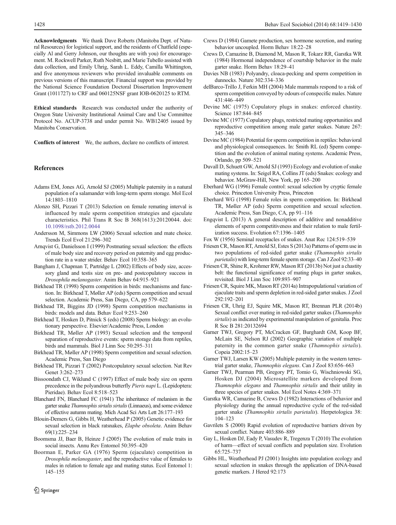<span id="page-9-0"></span>Acknowledgments We thank Dave Roberts (Manitoba Dept. of Natural Resources) for logistical support, and the residents of Chatfield (especially Al and Gerry Johnson, our thoughts are with you) for encouragement. M. Rockwell Parker, Ruth Nesbitt, and Marie Tubello assisted with data collection, and Emily Uhrig, Sarah L. Eddy, Camilla Whittington, and five anonymous reviewers who provided invaluable comments on previous versions of this manuscript. Financial support was provided by the National Science Foundation Doctoral Dissertation Improvement Grant (1011727) to CRF and 060125NSF grant IOB-0620125 to RTM.

Ethical standards Research was conducted under the authority of Oregon State University Institutional Animal Care and Use Committee Protocol No. ACUP-3738 and under permit No. WB12405 issued by Manitoba Conservation.

Conflicts of interest We, the authors, declare no conflicts of interest.

#### References

- Adams EM, Jones AG, Arnold SJ (2005) Multiple paternity in a natural population of a salamander with long-term sperm storage. Mol Ecol 14:1803–1810
- Alonzo SH, Pizzari T (2013) Selection on female remating interval is influenced by male sperm competition strategies and ejaculate characteristics. Phil Trans R Soc B 368(1613):20120044. doi: [10.1098/rstb.2012.0044](http://dx.doi.org/10.1098/rstb.2012.0044)
- Andersson M, Simmons LW (2006) Sexual selection and mate choice. Trends Ecol Evol 21:296–302
- Arnqvist G, Danielsson I (1999) Postmating sexual selection: the effects of male body size and recovery period on paternity and egg production rate in a water strider. Behav Ecol 10:358–365
- Bangham J, Chapman T, Partridge L (2002) Effects of body size, accessory gland and testis size on pre- and postcopulatory success in Drosophila melanogaster. Anim Behav 64:915–921
- Birkhead TR (1998) Sperm competition in birds: mechanisms and function. In: Birkhead T, Møller AP (eds) Sperm competition and sexual selection. Academic Press, San Diego, CA, pp 579–622
- Birkhead TR, Biggins JD (1998) Sperm competition mechanisms in birds: models and data. Behav Ecol 9:253–260
- Birkhead T, Hosken D, Pitnick S (eds) (2008) Sperm biology: an evolutionary perspective. Elsevier/Academic Press, London
- Birkhead TR, Møller AP (1993) Sexual selection and the temporal separation of reproductive events: sperm storage data from reptiles, birds and mammals. Biol J Linn Soc 50:295–311
- Birkhead TR, Møller AP (1998) Sperm competition and sexual selection. Academic Press, San Diego
- Birkhead TR, Pizzari T (2002) Postcopulatory sexual selection. Nat Rev Genet 3:262–273
- Bissoondath CJ, Wiklund C (1997) Effect of male body size on sperm precedence in the polyandrous butterfly Pieris napi L. (Lepidoptera: Pieridae). Behav Ecol 8:518–523
- Blanchard FN, Blanchard FC (1941) The inheritance of melanism in the garter snake Thamnophis sirtalis sirtalis(Linnaeus), and some evidence of effective autumn mating. Mich Acad Sci Arts Lett 26:177–193
- Blouin-Demers G, Gibbs H, Weatherhead P (2005) Genetic evidence for sexual selection in black ratsnakes, Elaphe obsoleta. Anim Behav 69(1):225–234
- Boomsma JJ, Baer B, Heinze J (2005) The evolution of male traits in social insects. Annu Rev Entomol 50:395–420
- Boorman E, Parker GA (1976) Sperm (ejaculate) competition in Drosophila melanogaster, and the reproductive value of females to males in relation to female age and mating status. Ecol Entomol 1: 145–155
- Crews D (1984) Gamete production, sex hormone secretion, and mating behavior uncoupled. Horm Behav 18:22–28
- Crews D, Camazine B, Diamond M, Mason R, Tokarz RR, Garstka WR (1984) Hormonal independence of courtship behavior in the male garter snake. Horm Behav 18:29–41
- Davies NB (1983) Polyandry, cloaca-pecking and sperm competition in dunnocks. Nature 302:334–336
- delBarco-Trillo J, Ferkin MH (2004) Male mammals respond to a risk of sperm competition conveyed by odours of conspecific males. Nature 431:446–449
- Devine MC (1975) Copulatory plugs in snakes: enforced chastity. Science 187:844–845
- Devine MC (1977) Copulatory plugs, restricted mating opportunities and reproductive competition among male garter snakes. Nature 267: 345–346
- Devine MC (1984) Potential for sperm competition in reptiles: behavioral and physiological consequences. In: Smith RL (ed) Sperm competition and the evolution of animal mating systems. Academic Press, Orlando, pp 509–521
- Duvall D, Schuett GW, Arnold SJ (1993) Ecology and evolution of snake mating systems. In: Seigel RA, Collins JT (eds) Snakes: ecology and behavior. McGraw-Hill, New York, pp 165–200
- Eberhard WG (1996) Female control: sexual selection by cryptic female choice. Princeton University Press, Princeton
- Eberhard WG (1998) Female roles in sperm competition. In: Birkhead TR, Møller AP (eds) Sperm competition and sexual selection. Academic Press, San Diego, CA, pp 91–116
- Engqvist L (2013) A general description of additive and nonadditive elements of sperm competitiveness and their relation to male fertilization success. Evolution 67:1396–1405
- Fox W (1956) Seminal receptacles of snakes. Anat Rec 124:519–539
- Friesen CR, Mason RT, Arnold SJ, Estes S (2013a) Patterns of sperm use in two populations of red-sided garter snake (Thamnophis sirtalis parietalis) with long-term female sperm storage. Can J Zool 92:33–40
- Friesen CR, Shine R, Krohmer RW, Mason RT (2013b) Not just a chastity belt: the functional significance of mating plugs in garter snakes, revisited. Biol J Linn Soc 109:893–907
- Friesen CR, Squire MK, Mason RT (2014a) Intrapopulational variation of ejaculate traits and sperm depletion in red-sided garter snakes. J Zool 292:192–201
- Friesen CR, Uhrig EJ, Squire MK, Mason RT, Brennan PLR (2014b) Sexual conflict over mating in red-sided garter snakes (Thamnophis sirtalis) as indicated by experimental manipulation of genitalia. Proc R Soc B 281:20132694
- Garner TWJ, Gregory PT, McCracken GF, Burghardt GM, Koop BF, McLain SE, Nelson RJ (2002) Geographic variation of multiple paternity in the common garter snake (*Thamnophis sirtalis*). Copeia 2002:15–23
- Garner TWJ, Larsen KW (2005) Multiple paternity in the western terrestrial garter snake, Thamnophis elegans. Can J Zool 83:656–663
- Garner TWJ, Pearman PB, Gregory PT, Tomio G, Wischniowski SG, Hosken DJ (2004) Microsatellite markers developed from Thamnophis elegans and Thamnophis sirtalis and their utility in three species of garter snakes. Mol Ecol Notes 4:369–371
- Garstka WR, Camazine B, Crews D (1982) Interactions of behavior and physiology during the annual reproductive cycle of the red-sided garter snake (Thamnophis sirtalis parietalis). Herpetologica 38: 104–123
- Gavrilets S (2000) Rapid evolution of reproductive barriers driven by sexual conflict. Nature 403:886–889
- Gay L, Hosken DJ, Eady P, Vasudev R, Tregenza T (2010) The evolution of harm—effect of sexual conflicts and population size. Evolution 65:725–737
- Gibbs HL, Weatherhead PJ (2001) Insights into population ecology and sexual selection in snakes through the application of DNA-based genetic markers. J Hered 92:173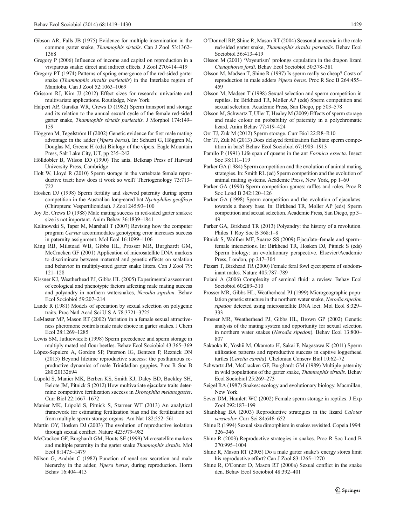- <span id="page-10-0"></span>Gibson AR, Falls JB (1975) Evidence for multiple insemination in the common garter snake, Thamnophis sirtalis. Can J Zool 53:1362– 1368
- Gregory P (2006) Influence of income and capital on reproduction in a viviparous snake: direct and indirect effects. J Zool 270:414–419
- Gregory PT (1974) Patterns of spring emergence of the red-sided garter snake (Thamnophis sirtalis parietalis) in the Interlake region of Manitoba. Can J Zool 52:1063–1069
- Grissom RJ, Kim JJ (2012) Effect sizes for research: univariate and multivariate applications. Routledge, New York
- Halpert AP, Garstka WR, Crews D (1982) Sperm transport and storage and its relation to the annual sexual cycle of the female red-sided garter snake, Thamnophis sirtalis parietalis. J Morphol 174:149– 159
- Höggren M, Tegelström H (2002) Genetic evidence for first male mating advantage in the adder (Vipera berus). In: Schuett G, Höggren M, Douglas M, Greene H (eds) Biology of the vipers. Eagle Mountain Press, Salt Lake City, UT, pp 235–242
- Hölldobler B, Wilson EO (1990) The ants. Belknap Press of Harvard University Press, Cambridge
- Holt W, Lloyd R (2010) Sperm storage in the vertebrate female reproductive tract: how does it work so well? Theriogenology 73:713– 722
- Hosken DJ (1998) Sperm fertility and skewed paternity during sperm competition in the Australian long-eared bat Nyctophilus geoffroyi (Chiroptera: Vespertilionidae). J Zool 245:93–100
- Joy JE, Crews D (1988) Male mating success in red-sided garter snakes: size is not important. Anim Behav 36:1839–1841
- Kalinowski S, Taper M, Marshall T (2007) Revising how the computer program Cervus accommodates genotyping error increases success in paternity assignment. Mol Ecol 16:1099–1106
- King RB, Milstead WB, Gibbs HL, Prosser MR, Burghardt GM, McCracken GF (2001) Application of microsatellite DNA markers to discriminate between maternal and genetic effects on scalation and behavior in multiply-sired garter snake litters. Can J Zool 79: 121–128
- Kissner KJ, Weatherhead PJ, Gibbs HL (2005) Experimental assessment of ecological and phenotypic factors affecting male mating success and polyandry in northern watersnakes, Nerodia sipedon. Behav Ecol Sociobiol 59:207–214
- Lande R (1981) Models of speciation by sexual selection on polygenic traits. Proc Natl Acad Sci U S A 78:3721–3725
- LeMaster MP, Mason RT (2002) Variation in a female sexual attractiveness pheromone controls male mate choice in garter snakes. J Chem Ecol 28:1269–1285
- Lewis SM, Jutkiewicz E (1998) Sperm precedence and sperm storage in multiply mated red flour beetles. Behav Ecol Sociobiol 43:365–369
- López-Sepulcre A, Gordon SP, Paterson IG, Bentzen P, Reznick DN (2013) Beyond lifetime reproductive success: the posthumous reproductive dynamics of male Trinidadian guppies. Proc R Soc B 280:20132694
- Lüpold S, Manier MK, Berben KS, Smith KJ, Daley BD, Buckley SH, Belote JM, Pitnick S (2012) How multivariate ejaculate traits determine competitive fertilization success in Drosophila melanogaster. Curr Biol 22:1667–1672
- Manier MK, Lüpold S, Pitnick S, Starmer WT (2013) An analytical framework for estimating fertilization bias and the fertilization set from multiple sperm-storage organs. Am Nat 182:552–561
- Martin OY, Hosken DJ (2003) The evolution of reproductive isolation through sexual conflict. Nature 423:979–982
- McCracken GF, Burghardt GM, Houts SE (1999) Microsatellite markers and multiple paternity in the garter snake Thamnophis sirtalis. Mol Ecol 8:1475–1479
- Nilson G, Andrén C (1982) Function of renal sex secretion and male hierarchy in the adder, Vipera berus, during reproduction. Horm Behav 16:404–413
- O'Donnell RP, Shine R, Mason RT (2004) Seasonal anorexia in the male red-sided garter snake, Thamnophis sirtalis parietalis. Behav Ecol Sociobiol 56:413–419
- Olsson M (2001) 'Voyeurism' prolongs copulation in the dragon lizard Ctenophorus fordi. Behav Ecol Sociobiol 50:378–381
- Olsson M, Madsen T, Shine R (1997) Is sperm really so cheap? Costs of reproduction in male adders Vipera berus. Proc R Soc B 264:455– 459
- Olsson M, Madsen T (1998) Sexual selection and sperm competition in reptiles. In: Birkhead TR, Møller AP (eds) Sperm competition and sexual selection. Academic Press, San Diego, pp 503–578
- Olsson M, Schwartz T, Uller T, Healey M (2009) Effects of sperm storage and male colour on probability of paternity in a polychromatic lizard. Anim Behav 77:419–424
- Orr TJ, Zuk M (2012) Sperm storage. Curr Biol 22:R8–R10
- Orr TJ, Zuk M (2013) Does delayed fertilization facilitate sperm competition in bats? Behav Ecol Sociobiol 67:1903–1913
- Pamilo P (1991) Life span of queens in the ant Formica exsecta. Insect Soc 38:111–119
- Parker GA (1984) Sperm competition and the evolution of animal mating strategies. In: Smith RL (ed) Sperm competition and the evolution of animal mating systems. Academic Press, New York, pp 1–60
- Parker GA (1990) Sperm competition games: raffles and roles. Proc R Soc Lond B 242:120–126
- Parker GA (1998) Sperm competition and the evolution of ejaculates: towards a theory base. In: Birkhead TR, Møller AP (eds) Sperm competition and sexual selection. Academic Press, San Diego, pp 3– 49
- Parker GA, Birkhead TR (2013) Polyandry: the history of a revolution. Philos T Roy Soc B 368:1–8
- Pitnick S, Wolfner MF, Suarez SS (2009) Ejaculate–female and sperm– female interactions. In: Birkhead TR, Hosken DJ, Pitnick S (eds) Sperm biology: an evolutionary perspective. Elsevier/Academic Press, London, pp 247–304
- Pizzari T, Birkhead TR (2000) Female feral fowl eject sperm of subdominant males. Nature 405:787–789
- Poiani A (2006) Complexity of seminal fluid: a review. Behav Ecol Sociobiol 60:289–310
- Prosser MR, Gibbs HL, Weatherhead PJ (1999) Microgeographic population genetic structure in the northern water snake, Nerodia sipedon sipedon detected using microsatellite DNA loci. Mol Ecol 8:329– 333
- Prosser MR, Weatherhead PJ, Gibbs HL, Brown GP (2002) Genetic analysis of the mating system and opportunity for sexual selection in northern water snakes (Nerodia sipedon). Behav Ecol 13:800– 807
- Sakaoka K, Yoshii M, Okamoto H, Sakai F, Nagasawa K (2011) Sperm utilization patterns and reproductive success in captive loggerhead turtles (Caretta caretta). Chelonian Conserv Biol 10:62–72
- Schwartz JM, McCracken GF, Burghardt GM (1989) Multiple paternity in wild populations of the garter snake, Thamnophis sirtalis. Behav Ecol Sociobiol 25:269–273
- Seigel RA (1987) Snakes: ecology and evolutionary biology. Macmillan, New York
- Sever DM, Hamlett WC (2002) Female sperm storage in reptiles. J Exp Zool 292:187–199
- Shanbhag BA (2003) Reproductive strategies in the lizard Calotes versicolor. Curr Sci 84:646–652
- Shine R (1994) Sexual size dimorphism in snakes revisited. Copeia 1994: 326–346
- Shine R (2003) Reproductive strategies in snakes. Proc R Soc Lond B 270:995–1004
- Shine R, Mason RT (2005) Do a male garter snake's energy stores limit his reproductive effort? Can J Zool 83:1265–1270
- Shine R, O'Connor D, Mason RT (2000a) Sexual conflict in the snake den. Behav Ecol Sociobiol 48:392–401